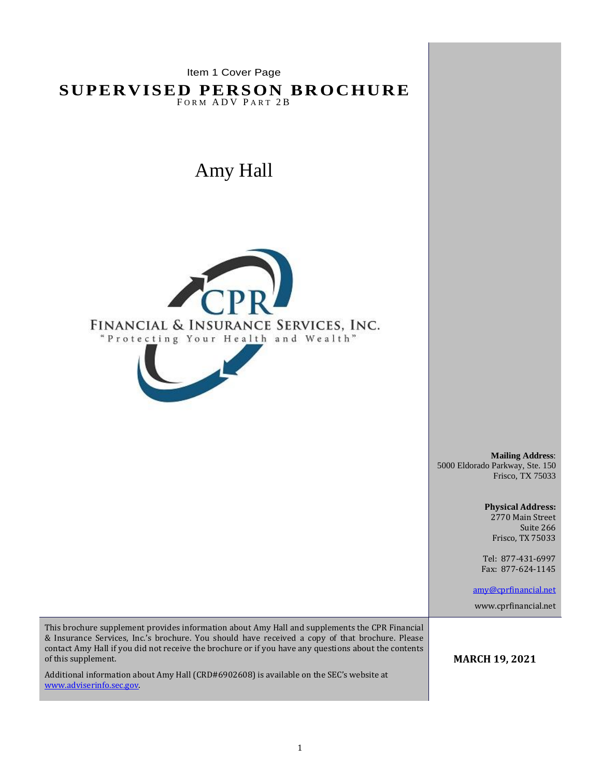Item 1 Cover Page **SUPERVISED PERSON BROCHURE** FORM ADV PART 2B Amy Hall FINANCIAL & INSURANCE SERVICES, INC. "Protecting Your Health and Wealth" **Mailing Address**: 5000 Eldorado Parkway, Ste. 150 Frisco, TX 75033 **Physical Address:** 2770 Main Street Suite 266 Frisco, TX 75033 Tel: 877-431-6997 Fax: 877-624-1145 [amy@cprfinancial.net](mailto:amy@cprfinancial.net) www.cprfinancial.net This brochure supplement provides information about Amy Hall and supplements the CPR Financial & Insurance Services, Inc.'s brochure. You should have received a copy of that brochure. Please contact Amy Hall if you did not receive the brochure or if you have any questions about the contents of this supplement. **MARCH 19, 2021**Additional information about Amy Hall (CRD#6902608) is available on the SEC's website at [www.adviserinfo.sec.gov.](http://www.adviserinfo.sec.gov/)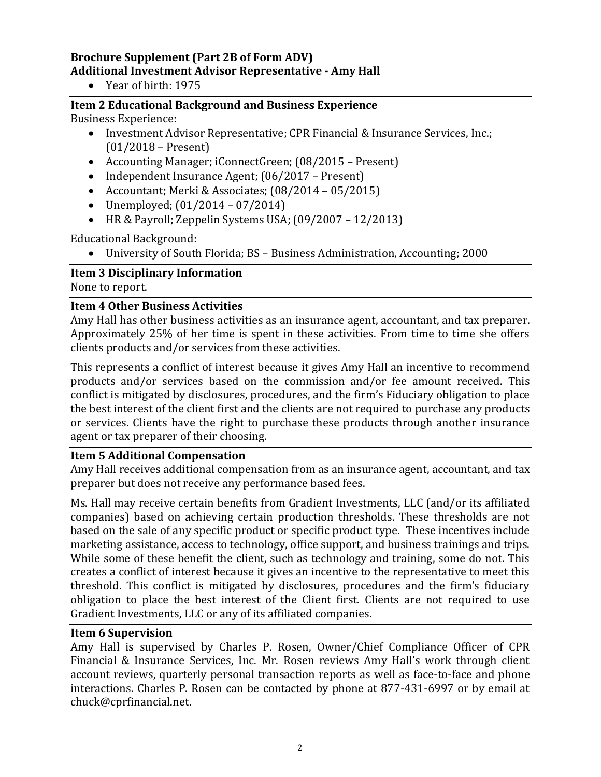## **Brochure Supplement (Part 2B of Form ADV) Additional Investment Advisor Representative - Amy Hall**

• Year of birth: 1975

# **Item 2 Educational Background and Business Experience**

Business Experience:

- Investment Advisor Representative; CPR Financial & Insurance Services, Inc.; (01/2018 – Present)
- Accounting Manager; iConnectGreen; (08/2015 Present)
- Independent Insurance Agent; (06/2017 Present)
- Accountant; Merki & Associates; (08/2014 05/2015)
- Unemployed;  $(01/2014 07/2014)$
- HR & Payroll; Zeppelin Systems USA;  $(09/2007 12/2013)$

Educational Background:

• University of South Florida; BS – Business Administration, Accounting; 2000

## **Item 3 Disciplinary Information**

None to report.

#### **Item 4 Other Business Activities**

Amy Hall has other business activities as an insurance agent, accountant, and tax preparer. Approximately 25% of her time is spent in these activities. From time to time she offers clients products and/or services from these activities.

This represents a conflict of interest because it gives Amy Hall an incentive to recommend products and/or services based on the commission and/or fee amount received. This conflict is mitigated by disclosures, procedures, and the firm's Fiduciary obligation to place the best interest of the client first and the clients are not required to purchase any products or services. Clients have the right to purchase these products through another insurance agent or tax preparer of their choosing.

#### **Item 5 Additional Compensation**

Amy Hall receives additional compensation from as an insurance agent, accountant, and tax preparer but does not receive any performance based fees.

Ms. Hall may receive certain benefits from Gradient Investments, LLC (and/or its affiliated companies) based on achieving certain production thresholds. These thresholds are not based on the sale of any specific product or specific product type. These incentives include marketing assistance, access to technology, office support, and business trainings and trips. While some of these benefit the client, such as technology and training, some do not. This creates a conflict of interest because it gives an incentive to the representative to meet this threshold. This conflict is mitigated by disclosures, procedures and the firm's fiduciary obligation to place the best interest of the Client first. Clients are not required to use Gradient Investments, LLC or any of its affiliated companies.

## **Item 6 Supervision**

Amy Hall is supervised by Charles P. Rosen, Owner/Chief Compliance Officer of CPR Financial & Insurance Services, Inc. Mr. Rosen reviews Amy Hall's work through client account reviews, quarterly personal transaction reports as well as face-to-face and phone interactions. Charles P. Rosen can be contacted by phone at 877-431-6997 or by email at chuck@cprfinancial.net.